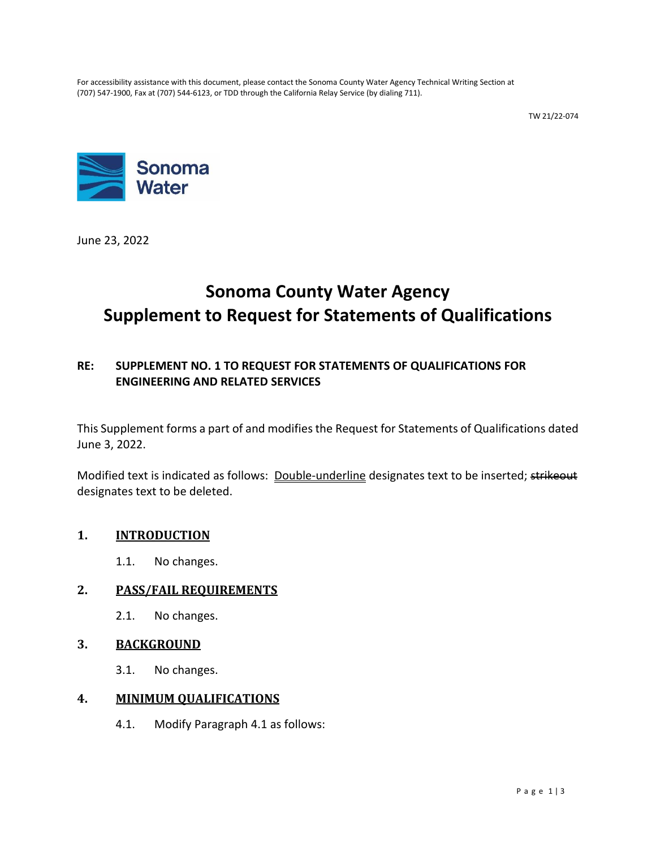For accessibility assistance with this document, please contact the Sonoma County Water Agency Technical Writing Section at (707) 547-1900, Fax at (707) 544-6123, or TDD through the California Relay Service (by dialing 711).

TW 21/22-074



June 23, 2022

# **Sonoma County Water Agency Supplement to Request for Statements of Qualifications**

## **RE: SUPPLEMENT NO. 1 TO REQUEST FOR STATEMENTS OF QUALIFICATIONS FOR ENGINEERING AND RELATED SERVICES**

This Supplement forms a part of and modifies the Request for Statements of Qualifications dated June 3, 2022.

Modified text is indicated as follows: Double-underline designates text to be inserted; strikeout designates text to be deleted.

### **1. INTRODUCTION**

1.1. No changes.

### **2. PASS/FAIL REQUIREMENTS**

2.1. No changes.

#### **3. BACKGROUND**

3.1. No changes.

#### **4. MINIMUM QUALIFICATIONS**

4.1. Modify Paragraph 4.1 as follows: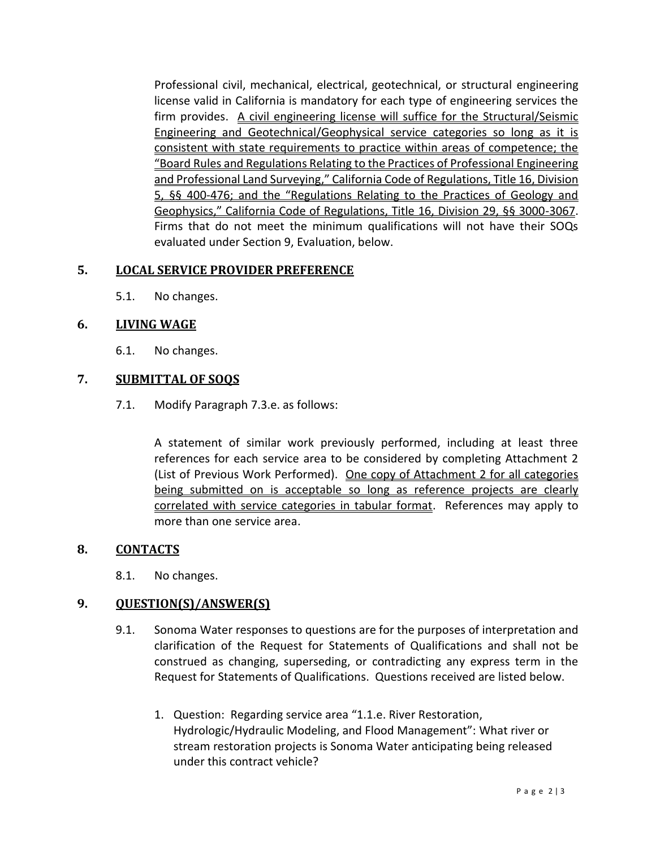Professional civil, mechanical, electrical, geotechnical, or structural engineering license valid in California is mandatory for each type of engineering services the firm provides. A civil engineering license will suffice for the Structural/Seismic Engineering and Geotechnical/Geophysical service categories so long as it is consistent with state requirements to practice within areas of competence; the "Board Rules and Regulations Relating to the Practices of Professional Engineering and Professional Land Surveying," California Code of Regulations, Title 16, Division 5, §§ 400-476; and the "Regulations Relating to the Practices of Geology and Geophysics," California Code of Regulations, Title 16, Division 29, §§ 3000-3067. Firms that do not meet the minimum qualifications will not have their SOQs evaluated under Section 9, Evaluation, below.

### **5. LOCAL SERVICE PROVIDER PREFERENCE**

5.1. No changes.

### **6. LIVING WAGE**

6.1. No changes.

## **7. SUBMITTAL OF SOQS**

7.1. Modify Paragraph 7.3.e. as follows:

A statement of similar work previously performed, including at least three references for each service area to be considered by completing Attachment 2 (List of Previous Work Performed). One copy of Attachment 2 for all categories being submitted on is acceptable so long as reference projects are clearly correlated with service categories in tabular format. References may apply to more than one service area.

### **8. CONTACTS**

8.1. No changes.

### **9. QUESTION(S)/ANSWER(S)**

- 9.1. Sonoma Water responses to questions are for the purposes of interpretation and clarification of the Request for Statements of Qualifications and shall not be construed as changing, superseding, or contradicting any express term in the Request for Statements of Qualifications. Questions received are listed below.
	- 1. Question: Regarding service area "1.1.e. River Restoration, Hydrologic/Hydraulic Modeling, and Flood Management": What river or stream restoration projects is Sonoma Water anticipating being released under this contract vehicle?